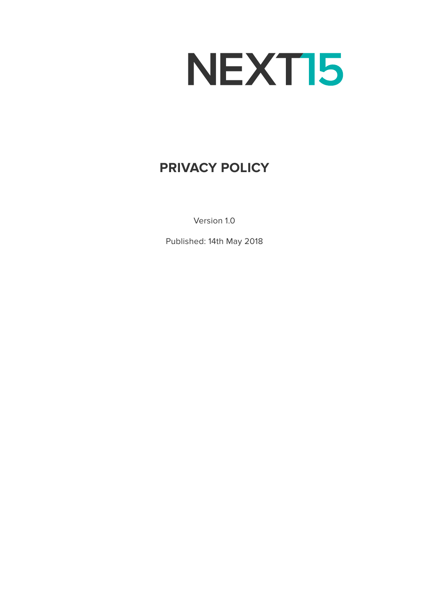# NEXT15

# **PRIVACY POLICY**

Version 1.0

Published: 14th May 2018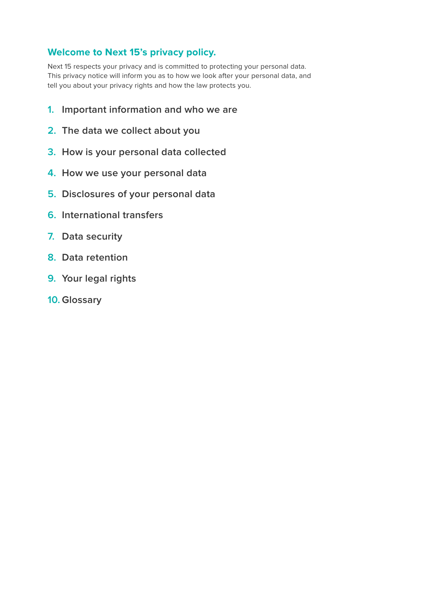# **Welcome to Next 15's privacy policy.**

Next 15 respects your privacy and is committed to protecting your personal data. This privacy notice will inform you as to how we look after your personal data, and tell you about your privacy rights and how the law protects you.

- **1. [Important information and who we are](#page-2-0)**
- **2. [The data we collect about you](#page-3-0)**
- **3. [How is your personal data collected](#page-4-0)**
- **4. [How we use your personal data](#page-5-0)**
- **5. [Disclosures of your personal data](#page-8-0)**
- **6. [International transfers](#page-8-0)**
- **7. [Data security](#page-9-0)**
- **8. [Data retention](#page-9-0)**
- **9. [Your legal rights](#page-10-0)**
- **10. [Glossary](#page-11-0)**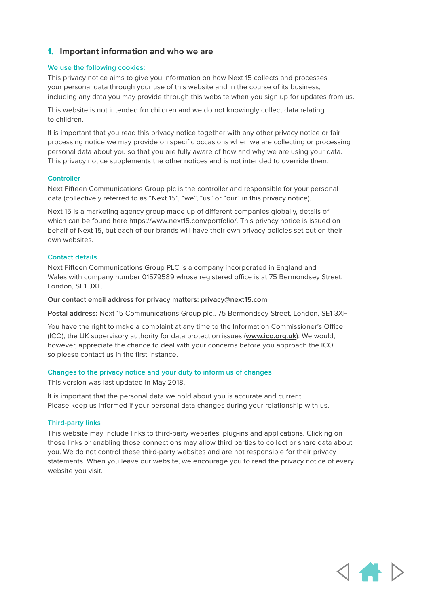#### <span id="page-2-0"></span>**1. Important information and who we are**

#### **We use the following cookies:**

This privacy notice aims to give you information on how Next 15 collects and processes your personal data through your use of this website and in the course of its business, including any data you may provide through this website when you sign up for updates from us.

This website is not intended for children and we do not knowingly collect data relating to children.

It is important that you read this privacy notice together with any other privacy notice or fair processing notice we may provide on specific occasions when we are collecting or processing personal data about you so that you are fully aware of how and why we are using your data. This privacy notice supplements the other notices and is not intended to override them.

#### **Controller**

Next Fifteen Communications Group plc is the controller and responsible for your personal data (collectively referred to as "Next 15", "we", "us" or "our" in this privacy notice).

Next 15 is a marketing agency group made up of different companies globally, details of which can be found here https://www.next15.com/portfolio/. This privacy notice is issued on behalf of Next 15, but each of our brands will have their own privacy policies set out on their own websites.

#### **Contact details**

Next Fifteen Communications Group PLC is a company incorporated in England and Wales with company number 01579589 whose registered office is at 75 Bermondsey Street, London, SE1 3XF.

#### **Our contact email address for privacy matters: [privacy@next15.com](mailto:privacy%40next15.com?subject=)**

**Postal address:** Next 15 Communications Group plc., 75 Bermondsey Street, London, SE1 3XF

You have the right to make a complaint at any time to the Information Commissioner's Office (ICO), the UK supervisory authority for data protection issues (**[www.ico.org.uk](http://www.ico.org.uk)**). We would, however, appreciate the chance to deal with your concerns before you approach the ICO so please contact us in the first instance.

#### **Changes to the privacy notice and your duty to inform us of changes**

This version was last updated in May 2018.

It is important that the personal data we hold about you is accurate and current. Please keep us informed if your personal data changes during your relationship with us.

#### **Third-party links**

This website may include links to third-party websites, plug-ins and applications. Clicking on those links or enabling those connections may allow third parties to collect or share data about you. We do not control these third-party websites and are not responsible for their privacy statements. When you leave our website, we encourage you to read the privacy notice of every website you visit.

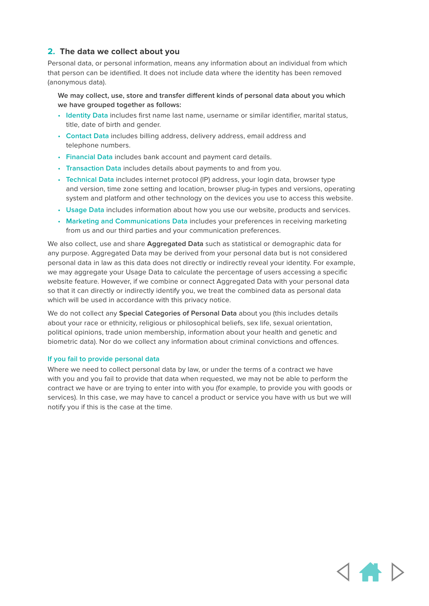#### <span id="page-3-0"></span>**2. The data we collect about you**

Personal data, or personal information, means any information about an individual from which that person can be identified. It does not include data where the identity has been removed (anonymous data).

**We may collect, use, store and transfer different kinds of personal data about you which we have grouped together as follows:**

- **Identity Data** includes first name last name, username or similar identifier, marital status, title, date of birth and gender.
- **Contact Data** includes billing address, delivery address, email address and telephone numbers.
- **Financial Data** includes bank account and payment card details.
- **Transaction Data** includes details about payments to and from you.
- **Technical Data** includes internet protocol (IP) address, your login data, browser type and version, time zone setting and location, browser plug-in types and versions, operating system and platform and other technology on the devices you use to access this website.
- **Usage Data** includes information about how you use our website, products and services.
- **Marketing and Communications Data** includes your preferences in receiving marketing from us and our third parties and your communication preferences.

We also collect, use and share **Aggregated Data** such as statistical or demographic data for any purpose. Aggregated Data may be derived from your personal data but is not considered personal data in law as this data does not directly or indirectly reveal your identity. For example, we may aggregate your Usage Data to calculate the percentage of users accessing a specific website feature. However, if we combine or connect Aggregated Data with your personal data so that it can directly or indirectly identify you, we treat the combined data as personal data which will be used in accordance with this privacy notice.

We do not collect any **Special Categories of Personal Data** about you (this includes details about your race or ethnicity, religious or philosophical beliefs, sex life, sexual orientation, political opinions, trade union membership, information about your health and genetic and biometric data). Nor do we collect any information about criminal convictions and offences.

#### **If you fail to provide personal data**

Where we need to collect personal data by law, or under the terms of a contract we have with you and you fail to provide that data when requested, we may not be able to perform the contract we have or are trying to enter into with you (for example, to provide you with goods or services). In this case, we may have to cancel a product or service you have with us but we will notify you if this is the case at the time.

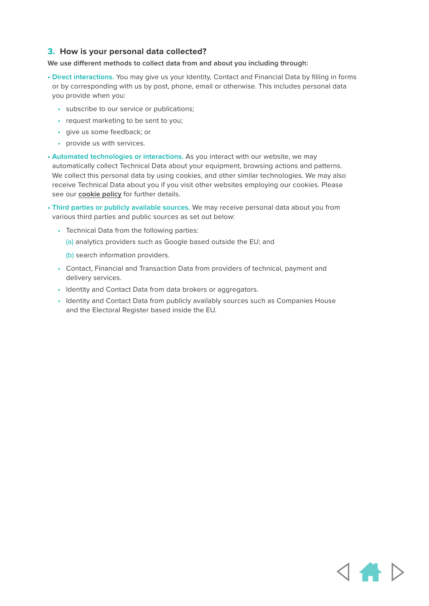#### <span id="page-4-0"></span>**3. How is your personal data collected?**

#### **We use different methods to collect data from and about you including through:**

- **Direct interactions.** You may give us your Identity, Contact and Financial Data by filling in forms or by corresponding with us by post, phone, email or otherwise. This includes personal data you provide when you:
	- subscribe to our service or publications;
	- request marketing to be sent to you;
	- give us some feedback; or
	- provide us with services.
- **Automated technologies or interactions.** As you interact with our website, we may automatically collect Technical Data about your equipment, browsing actions and patterns. We collect this personal data by using cookies, and other similar technologies. We may also receive Technical Data about you if you visit other websites employing our cookies. Please see our **[cookie policy](https://www.next15.com/cookie-policy/)** for further details.
- **Third parties or publicly available sources.** We may receive personal data about you from various third parties and public sources as set out below:
	- Technical Data from the following parties:
		- (a) analytics providers such as Google based outside the EU; and
		- (b) search information providers.
	- Contact, Financial and Transaction Data from providers of technical, payment and delivery services.
	- Identity and Contact Data from data brokers or aggregators.
	- Identity and Contact Data from publicly availably sources such as Companies House and the Electoral Register based inside the EU.

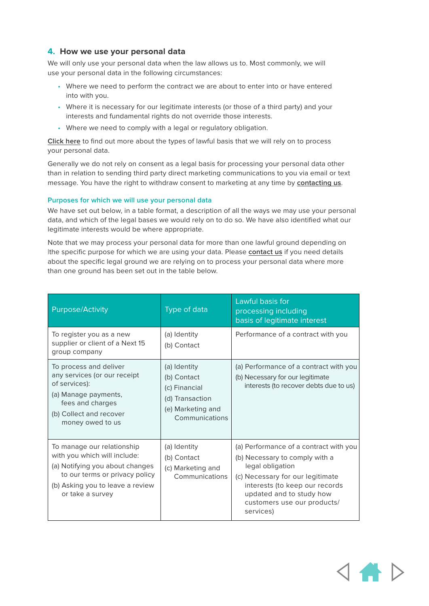#### <span id="page-5-0"></span>**4. How we use your personal data**

We will only use your personal data when the law allows us to. Most commonly, we will use your personal data in the following circumstances:

- Where we need to perform the contract we are about to enter into or have entered into with you.
- Where it is necessary for our legitimate interests (or those of a third party) and your interests and fundamental rights do not override those interests.
- Where we need to comply with a legal or regulatory obligation.

**[Click here](#page-11-0)** to find out more about the types of lawful basis that we will rely on to process your personal data.

Generally we do not rely on consent as a legal basis for processing your personal data other than in relation to sending third party direct marketing communications to you via email or text message. You have the right to withdraw consent to marketing at any time by **[contacting us](mailto:privacy%40next15.com?subject=)**.

#### **Purposes for which we will use your personal data**

We have set out below, in a table format, a description of all the ways we may use your personal data, and which of the legal bases we would rely on to do so. We have also identified what our legitimate interests would be where appropriate.

Note that we may process your personal data for more than one lawful ground depending on |the specific purpose for which we are using your data. Please **[contact us](mailto:privacy%40next15.com?subject=)** if you need details about the specific legal ground we are relying on to process your personal data where more than one ground has been set out in the table below.

| <b>Purpose/Activity</b>                                                                                                                                                                 | Type of data                                                                                           | Lawful basis for<br>processing including<br>basis of legitimate interest                                                                                                                                                                   |
|-----------------------------------------------------------------------------------------------------------------------------------------------------------------------------------------|--------------------------------------------------------------------------------------------------------|--------------------------------------------------------------------------------------------------------------------------------------------------------------------------------------------------------------------------------------------|
| To register you as a new<br>supplier or client of a Next 15<br>group company                                                                                                            | (a) Identity<br>(b) Contact                                                                            | Performance of a contract with you                                                                                                                                                                                                         |
| To process and deliver<br>any services (or our receipt<br>of services):<br>(a) Manage payments,<br>fees and charges<br>(b) Collect and recover<br>money owed to us                      | (a) Identity<br>(b) Contact<br>(c) Financial<br>(d) Transaction<br>(e) Marketing and<br>Communications | (a) Performance of a contract with you<br>(b) Necessary for our legitimate<br>interests (to recover debts due to us)                                                                                                                       |
| To manage our relationship<br>with you which will include:<br>(a) Notifying you about changes<br>to our terms or privacy policy<br>(b) Asking you to leave a review<br>or take a survey | (a) Identity<br>(b) Contact<br>(c) Marketing and<br>Communications                                     | (a) Performance of a contract with you<br>(b) Necessary to comply with a<br>legal obligation<br>(c) Necessary for our legitimate<br>interests (to keep our records<br>updated and to study how<br>customers use our products/<br>services) |

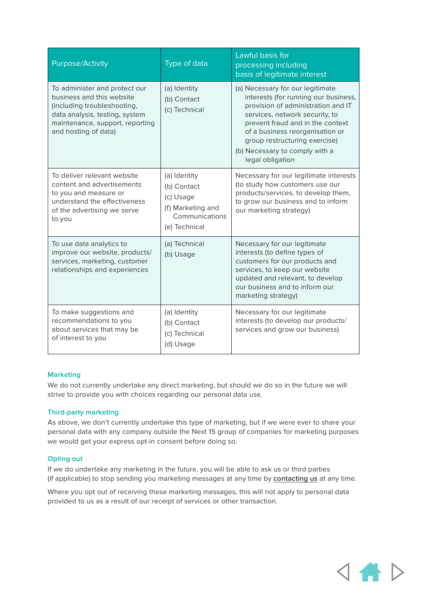| <b>Purpose/Activity</b>                                                                                                                                                                | Type of data                                                                                     | Lawful basis for<br>processing including<br>basis of legitimate interest                                                                                                                                                                                                                                       |
|----------------------------------------------------------------------------------------------------------------------------------------------------------------------------------------|--------------------------------------------------------------------------------------------------|----------------------------------------------------------------------------------------------------------------------------------------------------------------------------------------------------------------------------------------------------------------------------------------------------------------|
| To administer and protect our<br>business and this website<br>(including troubleshooting,<br>data analysis, testing, system<br>maintenance, support, reporting<br>and hosting of data) | (a) Identity<br>(b) Contact<br>(c) Technical                                                     | (a) Necessary for our legitimate<br>interests (for running our business,<br>provision of administration and IT<br>services, network security, to<br>prevent fraud and in the context<br>of a business reorganisation or<br>group restructuring exercise)<br>(b) Necessary to comply with a<br>legal obligation |
| To deliver relevant website<br>content and advertisements<br>to you and measure or<br>understand the effectiveness<br>of the advertising we serve<br>to you                            | (a) Identity<br>(b) Contact<br>(c) Usage<br>(f) Marketing and<br>Communications<br>(e) Technical | Necessary for our legitimate interests<br>(to study how customers use our<br>products/services, to develop them,<br>to grow our business and to inform<br>our marketing strategy)                                                                                                                              |
| To use data analytics to<br>improve our website, products/<br>services, marketing, customer<br>relationships and experiences                                                           | (a) Technical<br>(b) Usage                                                                       | Necessary for our legitimate<br>interests (to define types of<br>customers for our products and<br>services, to keep our website<br>updated and relevant, to develop<br>our business and to inform our<br>marketing strategy)                                                                                  |
| To make suggestions and<br>recommendations to you<br>about services that may be<br>of interest to you                                                                                  | (a) Identity<br>(b) Contact<br>(c) Technical<br>(d) Usage                                        | Necessary for our legitimate<br>interests (to develop our products/<br>services and grow our business)                                                                                                                                                                                                         |

#### **Marketing**

We do not currently undertake any direct marketing, but should we do so in the future we will strive to provide you with choices regarding our personal data use.

#### **Third-party marketing**

As above, we don't currently undertake this type of marketing, but if we were ever to share your personal data with any company outside the Next 15 group of companies for marketing purposes we would get your express opt-in consent before doing so.

#### **Opting out**

If we do undertake any marketing in the future, you will be able to ask us or third parties (if applicable) to stop sending you marketing messages at any time by **[contacting us](mailto:privacy%40next15.com?subject=)** at any time.

Where you opt out of receiving these marketing messages, this will not apply to personal data provided to us as a result of our receipt of services or other transaction.

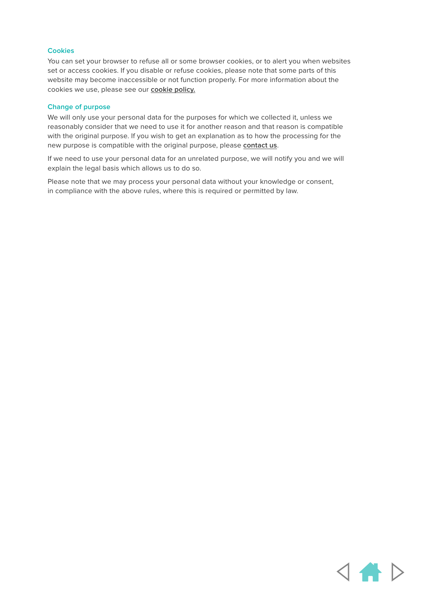#### **Cookies**

You can set your browser to refuse all or some browser cookies, or to alert you when websites set or access cookies. If you disable or refuse cookies, please note that some parts of this website may become inaccessible or not function properly. For more information about the cookies we use, please see our **[cookie policy.](https://www.next15.com/cookie-policy/)**

#### **Change of purpose**

We will only use your personal data for the purposes for which we collected it, unless we reasonably consider that we need to use it for another reason and that reason is compatible with the original purpose. If you wish to get an explanation as to how the processing for the new purpose is compatible with the original purpose, please **[contact us](mailto:privacy%40next15.com?subject=)**.

If we need to use your personal data for an unrelated purpose, we will notify you and we will explain the legal basis which allows us to do so.

Please note that we may process your personal data without your knowledge or consent, in compliance with the above rules, where this is required or permitted by law.

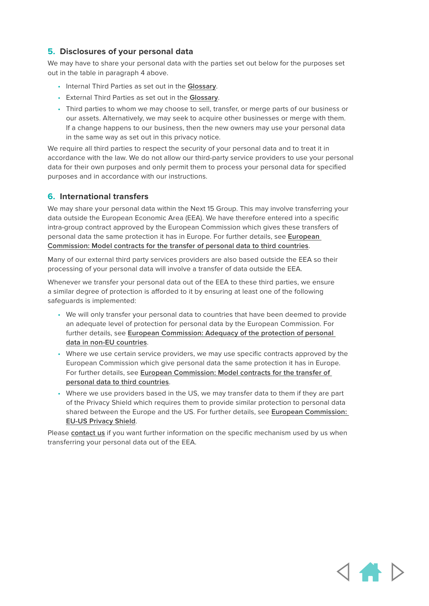### <span id="page-8-0"></span>**5. Disclosures of your personal data**

We may have to share your personal data with the parties set out below for the purposes set out in the table in paragraph 4 above.

- Internal Third Parties as set out in the **[Glossary](#page-11-0)**.
- External Third Parties as set out in the **[Glossary](#page-11-0)**.
- Third parties to whom we may choose to sell, transfer, or merge parts of our business or our assets. Alternatively, we may seek to acquire other businesses or merge with them. If a change happens to our business, then the new owners may use your personal data in the same way as set out in this privacy notice.

We require all third parties to respect the security of your personal data and to treat it in accordance with the law. We do not allow our third-party service providers to use your personal data for their own purposes and only permit them to process your personal data for specified purposes and in accordance with our instructions.

#### **6. International transfers**

We may share your personal data within the Next 15 Group. This may involve transferring your data outside the European Economic Area (EEA). We have therefore entered into a specific intra-group contract approved by the European Commission which gives these transfers of personal data the same protection it has in Europe. For further details, see **[European](https://ec.europa.eu/info/law/law-topic/data-protection/data-transfers-outside-eu/model-contracts-transfer-personal-data-third-countries_en)  [Commission: Model contracts for the transfer of personal data to third countries](https://ec.europa.eu/info/law/law-topic/data-protection/data-transfers-outside-eu/model-contracts-transfer-personal-data-third-countries_en)**.

Many of our external third party services providers are also based outside the EEA so their processing of your personal data will involve a transfer of data outside the EEA.

Whenever we transfer your personal data out of the EEA to these third parties, we ensure a similar degree of protection is afforded to it by ensuring at least one of the following safeguards is implemented:

- We will only transfer your personal data to countries that have been deemed to provide an adequate level of protection for personal data by the European Commission. For further details, see **[European Commission: Adequacy of the protection of personal](https://ec.europa.eu/info/law/law-topic/data-protection/data-transfers-outside-eu/adequacy-protection-personal-data-non-eu-countries_en)  [data in non-EU countries](https://ec.europa.eu/info/law/law-topic/data-protection/data-transfers-outside-eu/adequacy-protection-personal-data-non-eu-countries_en)**.
- Where we use certain service providers, we may use specific contracts approved by the European Commission which give personal data the same protection it has in Europe. For further details, see **[European Commission: Model contracts for the transfer of](https://ec.europa.eu/info/law/law-topic/data-protection/data-transfers-outside-eu/model-contracts-transfer-personal-data-third-countries_en)  [personal data to third countries](https://ec.europa.eu/info/law/law-topic/data-protection/data-transfers-outside-eu/model-contracts-transfer-personal-data-third-countries_en)**.
- Where we use providers based in the US, we may transfer data to them if they are part of the Privacy Shield which requires them to provide similar protection to personal data shared between the Europe and the US. For further details, see **[European Commission:](https://ec.europa.eu/info/law/law-topic/data-protection/data-transfers-outside-eu/eu-us-privacy-shield_en)  [EU-US Privacy Shield](https://ec.europa.eu/info/law/law-topic/data-protection/data-transfers-outside-eu/eu-us-privacy-shield_en)**.

Please **[contact us](mailto:privacy%40next15.com?subject=)** if you want further information on the specific mechanism used by us when transferring your personal data out of the EEA.

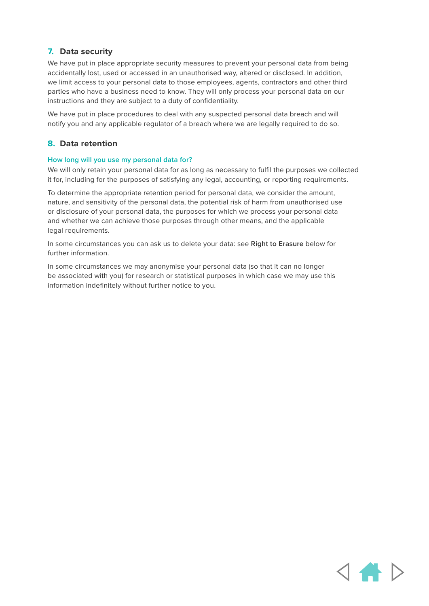# <span id="page-9-0"></span>**7. Data security**

We have put in place appropriate security measures to prevent your personal data from being accidentally lost, used or accessed in an unauthorised way, altered or disclosed. In addition, we limit access to your personal data to those employees, agents, contractors and other third parties who have a business need to know. They will only process your personal data on our instructions and they are subject to a duty of confidentiality.

We have put in place procedures to deal with any suspected personal data breach and will notify you and any applicable regulator of a breach where we are legally required to do so.

## **8. Data retention**

#### **How long will you use my personal data for?**

We will only retain your personal data for as long as necessary to fulfil the purposes we collected it for, including for the purposes of satisfying any legal, accounting, or reporting requirements.

To determine the appropriate retention period for personal data, we consider the amount, nature, and sensitivity of the personal data, the potential risk of harm from unauthorised use or disclosure of your personal data, the purposes for which we process your personal data and whether we can achieve those purposes through other means, and the applicable legal requirements.

In some circumstances you can ask us to delete your data: see **[Right to Erasure](#page-10-0)** below for further information.

In some circumstances we may anonymise your personal data (so that it can no longer be associated with you) for research or statistical purposes in which case we may use this information indefinitely without further notice to you.

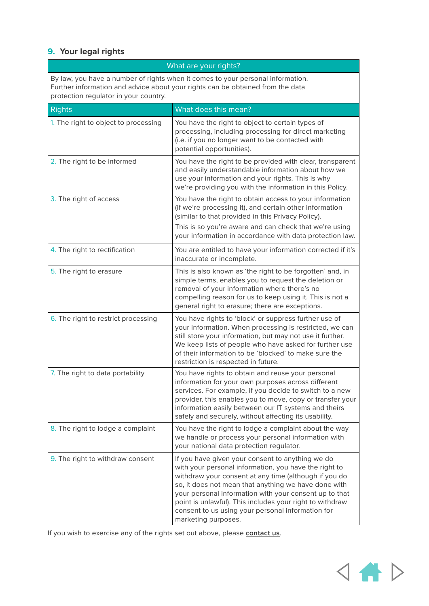# <span id="page-10-0"></span>**9. Your legal rights**

| What are your rights?                                                                                                                                                                                      |                                                                                                                                                                                                                                                                                                                                                                                                                              |  |
|------------------------------------------------------------------------------------------------------------------------------------------------------------------------------------------------------------|------------------------------------------------------------------------------------------------------------------------------------------------------------------------------------------------------------------------------------------------------------------------------------------------------------------------------------------------------------------------------------------------------------------------------|--|
| By law, you have a number of rights when it comes to your personal information.<br>Further information and advice about your rights can be obtained from the data<br>protection regulator in your country. |                                                                                                                                                                                                                                                                                                                                                                                                                              |  |
| <b>Rights</b>                                                                                                                                                                                              | What does this mean?                                                                                                                                                                                                                                                                                                                                                                                                         |  |
| 1. The right to object to processing                                                                                                                                                                       | You have the right to object to certain types of<br>processing, including processing for direct marketing<br>(i.e. if you no longer want to be contacted with<br>potential opportunities).                                                                                                                                                                                                                                   |  |
| 2. The right to be informed                                                                                                                                                                                | You have the right to be provided with clear, transparent<br>and easily understandable information about how we<br>use your information and your rights. This is why<br>we're providing you with the information in this Policy.                                                                                                                                                                                             |  |
| 3. The right of access                                                                                                                                                                                     | You have the right to obtain access to your information<br>(if we're processing it), and certain other information<br>(similar to that provided in this Privacy Policy).<br>This is so you're aware and can check that we're using<br>your information in accordance with data protection law.                                                                                                                               |  |
| 4. The right to rectification                                                                                                                                                                              | You are entitled to have your information corrected if it's<br>inaccurate or incomplete.                                                                                                                                                                                                                                                                                                                                     |  |
| 5. The right to erasure                                                                                                                                                                                    | This is also known as 'the right to be forgotten' and, in<br>simple terms, enables you to request the deletion or<br>removal of your information where there's no<br>compelling reason for us to keep using it. This is not a<br>general right to erasure; there are exceptions.                                                                                                                                             |  |
| 6. The right to restrict processing                                                                                                                                                                        | You have rights to 'block' or suppress further use of<br>your information. When processing is restricted, we can<br>still store your information, but may not use it further.<br>We keep lists of people who have asked for further use<br>of their information to be 'blocked' to make sure the<br>restriction is respected in future.                                                                                      |  |
| 7. The right to data portability                                                                                                                                                                           | You have rights to obtain and reuse your personal<br>information for your own purposes across different<br>services. For example, if you decide to switch to a new<br>provider, this enables you to move, copy or transfer your<br>information easily between our IT systems and theirs<br>safely and securely, without affecting its usability.                                                                             |  |
| 8. The right to lodge a complaint                                                                                                                                                                          | You have the right to lodge a complaint about the way<br>we handle or process your personal information with<br>your national data protection regulator.                                                                                                                                                                                                                                                                     |  |
| 9. The right to withdraw consent                                                                                                                                                                           | If you have given your consent to anything we do<br>with your personal information, you have the right to<br>withdraw your consent at any time (although if you do<br>so, it does not mean that anything we have done with<br>your personal information with your consent up to that<br>point is unlawful). This includes your right to withdraw<br>consent to us using your personal information for<br>marketing purposes. |  |

If you wish to exercise any of the rights set out above, please **[contact us](mailto:privacy%40next15.com?subject=)**.